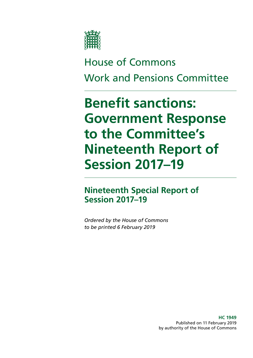

# House of Commons Work and Pensions Committee

# **Benefit sanctions: Government Response to the Committee's Nineteenth Report of Session 2017–19**

# **Nineteenth Special Report of Session 2017–19**

*Ordered by the House of Commons to be printed 6 February 2019*

> **HC 1949** Published on 11 February 2019 by authority of the House of Commons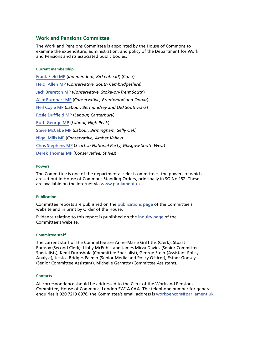#### **Work and Pensions Committee**

The Work and Pensions Committee is appointed by the House of Commons to examine the expenditure, administration, and policy of the Department for Work and Pensions and its associated public bodies.

#### **Current membership**

[Frank Field MP](https://www.parliament.uk/biographies/commons/frank-field/478) (*Independent, Birkenhead*) (Chair) [Heidi Allen MP](https://www.parliament.uk/biographies/commons/heidi-allen/4516) (*Conservative, South Cambridgeshire*) [Jack Brereton MP](https://www.parliament.uk/biographies/commons/jack-brereton/4643) (*Conservative, Stoke-on-Trent South*) [Alex Burghart MP](https://www.parliament.uk/biographies/commons/alex-burghart/4613) (*Conservative, Brentwood and Ongar*) [Neil Coyle MP](https://www.parliament.uk/biographies/commons/neil-coyle/4368) (*Labour, Bermondsey and Old Southwark*) [Rosie Duffield MP](https://www.parliament.uk/biographies/commons/rosie-duffield/4616) (*Labour, Canterbury*) [Ruth George MP](https://www.parliament.uk/biographies/commons/ruth-george/4662) (*Labour, High Peak*) [Steve McCabe MP](https://www.parliament.uk/biographies/commons/steve-mccabe/298) (*Labour, Birmingham, Selly Oak*) [Nigel Mills MP](https://www.parliament.uk/biographies/commons/nigel-mills/4136) (*Conservative, Amber Valley*) [Chris Stephens MP](https://www.parliament.uk/biographies/commons/chris-stephens/4463) (*Scottish National Party, Glasgow South West*) [Derek Thomas MP](https://www.parliament.uk/biographies/commons/derek-thomas/4532) (*Conservative, St Ives*)

#### **Powers**

The Committee is one of the departmental select committees, the powers of which are set out in House of Commons Standing Orders, principally in SO No 152. These are available on the internet via [www.parliament.uk.](https://www.parliament.uk/)

#### **Publication**

Committee reports are published on the [publications page](https://www.parliament.uk/business/committees/committees-a-z/commons-select/work-and-pensions-committee/publications/) of the Committee's website and in print by Order of the House.

Evidence relating to this report is published on the [inquiry page](https://www.parliament.uk/business/committees/committees-a-z/commons-select/work-and-pensions-committee/inquiries/parliament-2017/benefit-sanctions-inquiry-17-19/publications/) of the Committee's website.

#### **Committee staff**

The current staff of the Committee are Anne-Marie Griffiths (Clerk), Stuart Ramsay (Second Clerk), Libby McEnhill and James Mirza Davies (Senior Committee Specialists), Kemi Duroshola (Committee Specialist), George Steer (Assistant Policy Analyst), Jessica Bridges Palmer (Senior Media and Policy Officer), Esther Goosey (Senior Committee Assistant), Michelle Garratty (Committee Assistant).

#### **Contacts**

All correspondence should be addressed to the Clerk of the Work and Pensions Committee, House of Commons, London SW1A 0AA. The telephone number for general enquiries is 020 7219 8976; the Committee's email address is [workpencom@parliament.uk](mailto:workpencom%40parliament.uk?subject=)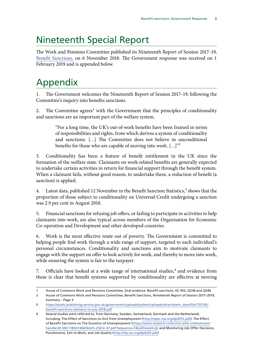# Nineteenth Special Report

The Work and Pensions Committee published its Nineteenth Report of Session 2017–19, [Benefit Sanctions,](https://publications.parliament.uk/pa/cm201719/cmselect/cmworpen/955/95502.htm) on 6 November 2018. The Government response was received on 1 February 2019 and is appended below.

# Appendix

The Government welcomes the Nineteenth Report of Session 2017–19, following the Committee's inquiry into benefits sanctions.

2. The Committee agrees<sup>1</sup> with the Government that the principles of conditionality and sanctions are an important part of the welfare system.

> "For a long time, the UK's out-of-work benefits have been framed in terms of responsibilities and rights, from which derives a system of conditionality and sanctions. […] The Committee does not believe in unconditional benefits for those who are capable of moving into work. [...]"<sup>2</sup>

3. Conditionality has been a feature of benefit entitlement in the UK since the formation of the welfare state. Claimants on work-related benefits are generally expected to undertake certain activities in return for financial support through the benefit system. When a claimant fails, without good reason, to undertake these, a reduction of benefit (a sanction) is applied.

4. Latest data, published 12 November in the Benefit Sanction Statistics,<sup>3</sup> shows that the proportion of those subject to conditionality on Universal Credit undergoing a sanction was 2.9 per cent in August 2018.

5. Financial sanctions for refusing job offers, or failing to participate in activities to help claimants into work, are also typical across members of the Organisation for Economic Co-operation and Development and other developed countries.

6. Work is the most effective route out of poverty. The Government is committed to helping people find work through a wide-range of support, targeted to each individual's personal circumstances. Conditionality and sanctions aim to motivate claimants to engage with the support on offer to look actively for work, and thereby to move into work, while ensuring the system is fair to the taxpayer.

7. Officials have looked at a wide range of international studies,<sup>4</sup> and evidence from these is clear that benefit systems supported by conditionality are effective at moving

<sup>1</sup> House of Commons Work and Pensions Committee, Oral evidence: Benefit sanctions, HC 955, Q238 and Q249.

<sup>2</sup> House of Commons Work and Pensions Committee, Benefit Sanctions, Nineteenth Report of Session 2017–2019, Summary – Page 3

<sup>3</sup> [https://assets.publishing.service.gov.uk/government/uploads/system/uploads/attachment\\_data/file/755742/](https://assets.publishing.service.gov.uk/government/uploads/system/uploads/attachment_data/file/7557) [benefit-sanctions-statistics-to-july-2018.pdf](https://assets.publishing.service.gov.uk/government/uploads/system/uploads/attachment_data/file/7557)

<sup>4</sup> Several studies were referred to, from Germany, Sweden, Switzerland, Denmark and the Netherlands. Including: The Effect of Sanctions on Exit from Unemployment [\(http://repec.iza.org/dp3015.pdf\)](http://repec.iza.org/dp3015.pdf); The Effect of Benefit Sanctions on The Duration of Unemployment ([https://www.research-collection.ethz.ch/bitstream/](https://www.research-collection.ethz.ch/bitstream/handle/20.500.11850/146650/eth-25612-01.pdf?sequen) [handle/20.500.11850/146650/eth-25612–01.pdf?sequence=1&isAllowed=y](https://www.research-collection.ethz.ch/bitstream/handle/20.500.11850/146650/eth-25612-01.pdf?sequen)), and Monitoring Job Offer Decisions, Punishments, Exit to Work, and Job Quality [\(http://ftp.iza.org/dp4325.pdf](http://ftp.iza.org/dp4325.pdf))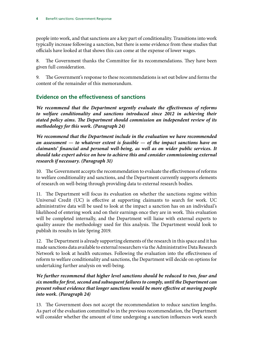people into work, and that sanctions are a key part of conditionality. Transitions into work typically increase following a sanction, but there is some evidence from these studies that officials have looked at that shows this can come at the expense of lower wages.

8. The Government thanks the Committee for its recommendations. They have been given full consideration.

9. The Government's response to these recommendations is set out below and forms the content of the remainder of this memorandum.

# **Evidence on the effectiveness of sanctions**

*We recommend that the Department urgently evaluate the effectiveness of reforms to welfare conditionality and sanctions introduced since 2012 in achieving their stated policy aims. The Department should commission an independent review of its methodology for this work. (Paragraph 24)*

*We recommend that the Department include in the evaluation we have recommended an assessment — to whatever extent is feasible — of the impact sanctions have on claimants' financial and personal well-being, as well as on wider public services. It should take expert advice on how to achieve this and consider commissioning external research if necessary. (Paragraph 31)*

10. The Government accepts the recommendation to evaluate the effectiveness of reforms to welfare conditionality and sanctions, and the Department currently supports elements of research on well-being through providing data to external research bodies.

11. The Department will focus its evaluation on whether the sanctions regime within Universal Credit (UC) is effective at supporting claimants to search for work. UC administrative data will be used to look at the impact a sanction has on an individual's likelihood of entering work and on their earnings once they are in work. This evaluation will be completed internally, and the Department will liaise with external experts to quality assure the methodology used for this analysis. The Department would look to publish its results in late Spring 2019.

12. The Department is already supporting elements of the research in this space and it has made sanctions data available to external researchers via the Administrative Data Research Network to look at health outcomes. Following the evaluation into the effectiveness of reform to welfare conditionality and sanctions, the Department will decide on options for undertaking further analysis on well-being.

#### *We further recommend that higher level sanctions should be reduced to two, four and six months for first, second and subsequent failures to comply, until the Department can present robust evidence that longer sanctions would be more effective at moving people into work. (Paragraph 24)*

13. The Government does not accept the recommendation to reduce sanction lengths. As part of the evaluation committed to in the previous recommendation, the Department will consider whether the amount of time undergoing a sanction influences work search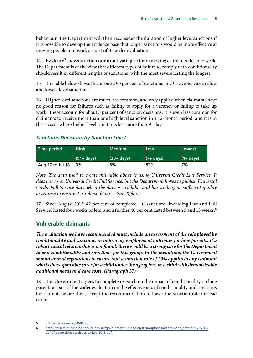behaviour. The Department will then reconsider the duration of higher level sanctions if it is possible to develop the evidence base that longer sanctions would be more effective at moving people into work as part of its wider evaluation.

14. Evidence<sup>5</sup> shows sanctions are a motivating factor in moving claimants closer to work. The Department is of the view that different types of failure to comply with conditionality should result in different lengths of sanctions, with the most severe lasting the longest.

15. The table below shows that around 90 per cent of sanctions in UC Live Service are low and lowest level sanctions.

16. Higher level sanctions are much less common, and only applied when claimants have no good reason for failures such as failing to apply for a vacancy or failing to take up work. These account for about 3 per cent of sanction decisions. It is even less common for claimants to receive more than one high level sanction in a 12-month period, and it is in these cases where higher level sanctions last more than 91 days.

#### *Sanctions Decisions by Sanction Level*

| <b>Time period</b> | <b>High</b>   | <b>Medium</b> | Low          | Lowest      |
|--------------------|---------------|---------------|--------------|-------------|
|                    | $(91 + days)$ | $(28 + days)$ | $(7 + days)$ | $(1+ days)$ |
| Aug-17 to Jul-18   | 3%            | 8%            | 82%          | 7%          |

*Note: The data used to create this table above is using Universal Credit Live Service. It does not cover Universal Credit Full Service, but the Department hopes to publish Universal Credit Full Service data when the data is available and has undergone sufficient quality assurance to ensure it is robust. (Source: Stat-Xplore)*

17. Since August 2015, 42 per cent of completed UC sanctions (including Live and Full Service) lasted four weeks or less, and a further 40 per cent lasted between 5 and 13 weeks.<sup>6</sup>

## **Vulnerable claimants**

*The evaluation we have recommended must include an assessment of the role played by conditionality and sanctions in improving employment outcomes for lone parents. If a robust causal relationship is not found, there would be a strong case for the Department*  to end conditionality and sanctions for this group. In the meantime, the Government *should amend regulations to ensure that a sanction rate of 20% applies to any claimant who is the responsible carer for a child under the age of five, or a child with demonstrable additional needs and care costs. (Paragraph 37)*

18. The Government agrees to complete research on the impact of conditionality on lone parents as part of the wider evaluation on the effectiveness of conditionality and sanctions but cannot, before then, accept the recommendation to lower the sanction rate for lead carers.

<sup>5</sup> <http://ftp.iza.org/dp4509.pdf>

<sup>6</sup> [https://assets.publishing.service.gov.uk/government/uploads/system/uploads/attachment\\_data/file/755742/](https://assets.publishing.service.gov.uk/government/uploads/system/uploads/attachment_data/file/7557) [benefit-sanctions-statistics-to-july-2018.pdf](https://assets.publishing.service.gov.uk/government/uploads/system/uploads/attachment_data/file/7557)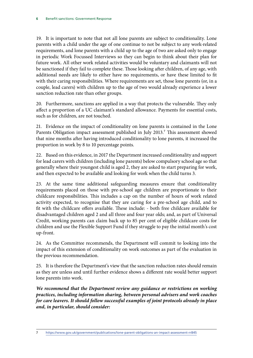19. It is important to note that not all lone parents are subject to conditionality. Lone parents with a child under the age of one continue to not be subject to any work-related requirements, and lone parents with a child up to the age of two are asked only to engage in periodic Work Focussed Interviews so they can begin to think about their plan for future work. All other work related activities would be voluntary and claimants will not be sanctioned if they fail to complete these. Those looking after children, of any age, with additional needs are likely to either have no requirements, or have these limited to fit with their caring responsibilities. Where requirements are set, those lone parents (or, in a couple, lead carers) with children up to the age of two would already experience a lower sanction reduction rate than other groups.

20. Furthermore, sanctions are applied in a way that protects the vulnerable. They only affect a proportion of a UC claimant's standard allowance. Payments for essential costs, such as for children, are not touched.

21. Evidence on the impact of conditionality on lone parents is contained in the Lone Parents Obligation impact assessment published in July 2013.<sup>7</sup> This assessment showed that nine months after having introduced conditionality to lone parents, it increased the proportion in work by 8 to 10 percentage points.

22. Based on this evidence, in 2017 the Department increased conditionality and support for lead carers with children (including lone parents) below compulsory school age so that generally where their youngest child is aged 2, they are asked to start preparing for work, and then expected to be available and looking for work when the child turns 3.

23. At the same time additional safeguarding measures ensure that conditionality requirements placed on those with pre-school age children are proportionate to their childcare responsibilities. This includes a cap on the number of hours of work related activity expected, to recognise that they are caring for a pre-school age child, and to fit with the childcare offers available. These include: - both free childcare available for disadvantaged children aged 2 and all three and four year olds; and, as part of Universal Credit, working parents can claim back up to 85 per cent of eligible childcare costs for children and use the Flexible Support Fund if they struggle to pay the initial month's cost up-front.

24. As the Committee recommends, the Department will commit to looking into the impact of this extension of conditionality on work outcomes as part of the evaluation in the previous recommendation.

25. It is therefore the Department's view that the sanction reduction rates should remain as they are unless and until further evidence shows a different rate would better support lone parents into work.

*We recommend that the Department review any guidance or restrictions on working practices, including information sharing, between personal advisers and work coaches for care leavers. It should follow successful examples of joint protocols already in place and, in particular, should consider:*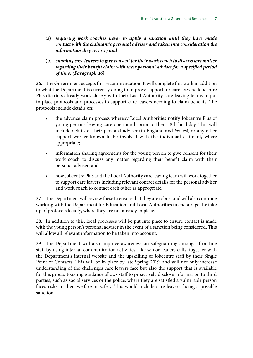- (a) *requiring work coaches never to apply a sanction until they have made contact with the claimant's personal adviser and taken into consideration the information they receive; and*
- (b) *enabling care leavers to give consent for their work coach to discuss any matter regarding their benefit claim with their personal adviser for a specified period of time. (Paragraph 46)*

26. The Government accepts this recommendation. It will complete this work in addition to what the Department is currently doing to improve support for care leavers. Jobcentre Plus districts already work closely with their Local Authority care leaving teams to put in place protocols and processes to support care leavers needing to claim benefits. The protocols include details on:

- the advance claim process whereby Local Authorities notify Jobcentre Plus of young persons leaving care one month prior to their 18th birthday. This will include details of their personal adviser (in England and Wales), or any other support worker known to be involved with the individual claimant, where appropriate;
- information sharing agreements for the young person to give consent for their work coach to discuss any matter regarding their benefit claim with their personal adviser; and
- how Jobcentre Plus and the Local Authority care leaving team will work together to support care leavers including relevant contact details for the personal adviser and work coach to contact each other as appropriate.

27. The Department will review these to ensure that they are robust and will also continue working with the Department for Education and Local Authorities to encourage the take up of protocols locally, where they are not already in place.

28. In addition to this, local processes will be put into place to ensure contact is made with the young person's personal adviser in the event of a sanction being considered. This will allow all relevant information to be taken into account.

29. The Department will also improve awareness on safeguarding amongst frontline staff by using internal communication activities, like senior leaders calls, together with the Department's internal website and the upskilling of Jobcentre staff by their Single Point of Contacts. This will be in place by late Spring 2019, and will not only increase understanding of the challenges care leavers face but also the support that is available for this group. Existing guidance allows staff to proactively disclose information to third parties, such as social services or the police, where they are satisfied a vulnerable person faces risks to their welfare or safety. This would include care leavers facing a possible sanction.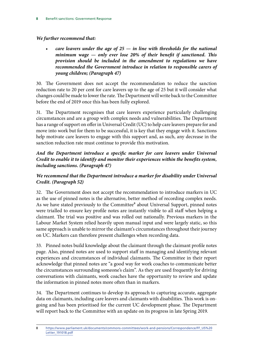#### *We further recommend that:*

• *care leavers under the age of 25 — in line with thresholds for the national minimum wage — only ever lose 20% of their benefit if sanctioned. This provision should be included in the amendment to regulations we have recommended the Government introduce in relation to responsible carers of young children; (Paragraph 47)*

30. The Government does not accept the recommendation to reduce the sanction reduction rate to 20 per cent for care leavers up to the age of 25 but it will consider what changes could be made to lower the rate. The Department will write back to the Committee before the end of 2019 once this has been fully explored.

31. The Department recognises that care leavers experience particularly challenging circumstances and are a group with complex needs and vulnerabilities. The Department has a range of support on offer in Universal Credit (UC) to help care leavers prepare for and move into work but for them to be successful, it is key that they engage with it. Sanctions help motivate care leavers to engage with this support and, as such, any decrease in the sanction reduction rate must continue to provide this motivation.

#### *And the Department introduce a specific marker for care leavers under Universal Credit to enable it to identify and monitor their experiences within the benefits system, including sanctions. (Paragraph 47)*

## *We recommend that the Department introduce a marker for disability under Universal Credit. (Paragraph 52)*

32. The Government does not accept the recommendation to introduce markers in UC as the use of pinned notes is the alternative, better method of recording complex needs. As we have stated previously to the Committee<sup>8</sup> about Universal Support, pinned notes were trialled to ensure key profile notes are instantly visible to all staff when helping a claimant. The trial was positive and was rolled out nationally. Previous markers in the Labour Market System relied heavily upon manual input and were largely static, so this same approach is unable to mirror the claimant's circumstances throughout their journey on UC. Markers can therefore present challenges when recording data.

33. Pinned notes build knowledge about the claimant through the claimant profile notes page. Also, pinned notes are used to support staff in managing and identifying relevant experiences and circumstances of individual claimants. The Committee in their report acknowledge that pinned notes are "a good way for work coaches to communicate better the circumstances surrounding someone's claim". As they are used frequently for driving conversations with claimants, work coaches have the opportunity to review and update the information in pinned notes more often than in markers.

34. The Department continues to develop its approach to capturing accurate, aggregate data on claimants, including care leavers and claimants with disabilities. This work is ongoing and has been prioritised for the current UC development phase. The Department will report back to the Committee with an update on its progress in late Spring 2019.

<sup>8</sup> [https://www.parliament.uk/documents/commons-committees/work-and-pensions/Correspondence/FF\\_US%20](https://www.parliament.uk/documents/commons-committees/work-and-pensions/Correspondence/FF_US%20Lett) [Letter\\_191018.pdf](https://www.parliament.uk/documents/commons-committees/work-and-pensions/Correspondence/FF_US%20Lett)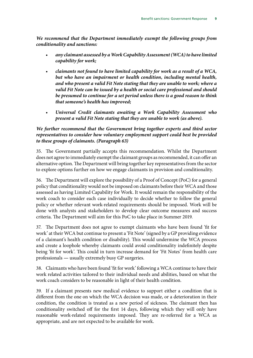*We recommend that the Department immediately exempt the following groups from conditionality and sanctions:*

- *any claimant assessed by a Work Capability Assessment (WCA) to have limited capability for work;*
- *claimants not found to have limited capability for work as a result of a WCA, but who have an impairment or health condition, including mental health, and who present a valid Fit Note stating that they are unable to work; where a valid Fit Note can be issued by a health or social care professional and should be presumed to continue for a set period unless there is a good reason to think that someone's health has improved;*
- *Universal Credit claimants awaiting a Work Capability Assessment who present a valid Fit Note stating that they are unable to work (as above).*

#### *We further recommend that the Government bring together experts and third sector representatives to consider how voluntary employment support could best be provided to these groups of claimants. (Paragraph 63)*

35. The Government partially accepts this recommendation. Whilst the Department does not agree to immediately exempt the claimant groups as recommended, it can offer an alternative option. The Department will bring together key representatives from the sector to explore options further on how we engage claimants in provision and conditionality.

36. The Department will explore the possibility of a Proof of Concept (PoC) for a general policy that conditionality would not be imposed on claimants before their WCA and those assessed as having Limited Capability for Work. It would remain the responsibility of the work coach to consider each case individually to decide whether to follow the general policy or whether relevant work-related requirements should be imposed. Work will be done with analysts and stakeholders to develop clear outcome measures and success criteria. The Department will aim for this PoC to take place in Summer 2019.

37. The Department does not agree to exempt claimants who have been found 'fit for work' at their WCA but continue to present a 'Fit Note' (signed by a GP providing evidence of a claimant's health condition or disability). This would undermine the WCA process and create a loophole whereby claimants could avoid conditionality indefinitely despite being 'fit for work'. This could in turn increase demand for 'Fit Notes' from health care professionals *—* usually extremely busy GP surgeries.

38. Claimants who have been found 'fit for work' following a WCA continue to have their work related activities tailored to their individual needs and abilities, based on what the work coach considers to be reasonable in light of their health condition.

39. If a claimant presents new medical evidence to support either a condition that is different from the one on which the WCA decision was made, or a deterioration in their condition, the condition is treated as a new period of sickness. The claimant then has conditionality switched off for the first 14 days, following which they will only have reasonable work-related requirements imposed. They are re-referred for a WCA as appropriate, and are not expected to be available for work.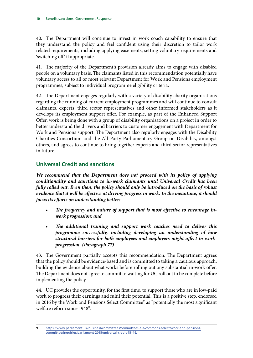40. The Department will continue to invest in work coach capability to ensure that they understand the policy and feel confident using their discretion to tailor work related requirements, including applying easements, setting voluntary requirements and 'switching off' if appropriate.

41. The majority of the Department's provision already aims to engage with disabled people on a voluntary basis. The claimants listed in this recommendation potentially have voluntary access to all or most relevant Department for Work and Pensions employment programmes, subject to individual programme eligibility criteria.

42. The Department engages regularly with a variety of disability charity organisations regarding the running of current employment programmes and will continue to consult claimants, experts, third sector representatives and other informed stakeholders as it develops its employment support offer. For example, as part of the Enhanced Support Offer, work is being done with a group of disability organisations on a project in order to better understand the drivers and barriers to customer engagement with Department for Work and Pensions support. The Department also regularly engages with the Disability Charities Consortium and the All Party Parliamentary Group on Disability, amongst others, and agrees to continue to bring together experts and third sector representatives in future.

# **Universal Credit and sanctions**

*We recommend that the Department does not proceed with its policy of applying conditionality and sanctions to in-work claimants until Universal Credit has been fully rolled out. Even then, the policy should only be introduced on the basis of robust evidence that it will be effective at driving progress in work. In the meantime, it should focus its efforts on understanding better:*

- The frequency and nature of support that is most effective to encourage in*work progression; and*
- *The additional training and support work coaches need to deliver this programme successfully, including developing an understanding of how structural barriers for both employees and employers might affect in workprogression. (Paragraph 77)*

43. The Government partially accepts this recommendation. The Department agrees that the policy should be evidence-based and is committed to taking a cautious approach, building the evidence about what works before rolling out any substantial in-work offer. The Department does not agree to commit to waiting for UC roll out to be complete before implementing the policy.

44. UC provides the opportunity, for the first time, to support those who are in low-paid work to progress their earnings and fulfil their potential. This is a positive step, endorsed in 2016 by the Work and Pensions Select Committee<sup>9</sup> as "potentially the most significant welfare reform since 1948".

<sup>9</sup> [https://www.parliament.uk/business/committees/committees-a-z/commons-select/work-and-pensions](https://www.parliament.uk/business/committees/committees-a-z/commons-select/work-and-pensions-commit)[committee/inquiries/parliament-2015/universal-credit-15–16/](https://www.parliament.uk/business/committees/committees-a-z/commons-select/work-and-pensions-commit)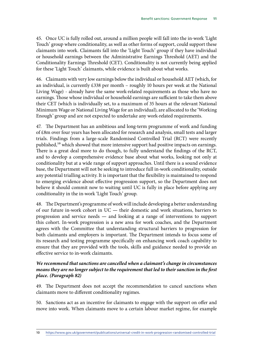45. Once UC is fully rolled out, around a million people will fall into the in-work 'Light Touch' group where conditionality, as well as other forms of support, could support these claimants into work. Claimants fall into the 'Light Touch' group if they have individual or household earnings between the Administrative Earnings Threshold (AET) and the Conditionality Earnings Threshold (CET). Conditionality is not currently being applied for these 'Light Touch' claimants, while evidence is built about what works.

46. Claimants with very low earnings below the individual or household AET (which, for an individual, is currently £338 per month – roughly 10 hours per week at the National Living Wage) - already have the same work-related requirements as those who have no earnings. Those whose individual or household earnings are sufficient to take them above their CET (which is individually set, to a maximum of 35 hours at the relevant National Minimum Wage or National Living Wage for an individual), are allocated to the 'Working Enough' group and are not expected to undertake any work-related requirements.

47. The Department has an ambitious and long-term programme of work and funding of £8m over four years has been allocated for research and analysis, small tests and larger trials. Findings from a large-scale Randomised Controlled Trial (RCT) were recently published,<sup>10</sup> which showed that more intensive support had positive impacts on earnings. There is a great deal more to do though, to fully understand the findings of the RCT, and to develop a comprehensive evidence base about what works, looking not only at conditionality but at a wide range of support approaches. Until there is a sound evidence base, the Department will not be seeking to introduce full in-work conditionality, outside any potential trialling activity. It is important that the flexibility is maintained to respond to emerging evidence about effective progression support, so the Department does not believe it should commit now to waiting until UC is fully in place before applying any conditionality in the in-work 'Light Touch' group.

48. The Department's programme of work will include developing a better understanding of our future in-work cohort in UC *—* their domestic and work situations, barriers to progression and service needs *—* and looking at a range of interventions to support this cohort. In-work progression is a new area for work coaches, and the Department agrees with the Committee that understanding structural barriers to progression for both claimants and employers is important. The Department intends to focus some of its research and testing programme specifically on enhancing work coach capability to ensure that they are provided with the tools, skills and guidance needed to provide an effective service to in-work claimants.

#### *We recommend that sanctions are cancelled when a claimant's change in circumstances means they are no longer subject to the requirement that led to their sanction in the first place. (Paragraph 82)*

49. The Department does not accept the recommendation to cancel sanctions when claimants move to different conditionality regimes.

50. Sanctions act as an incentive for claimants to engage with the support on offer and move into work. When claimants move to a certain labour market regime, for example

10 [https://www.gov.uk/government/publications/universal-credit-in-work-progression-randomised-controlled-trial](https://www.gov.uk/government/publications/universal-credit-in-work-progression-randomised-controlle)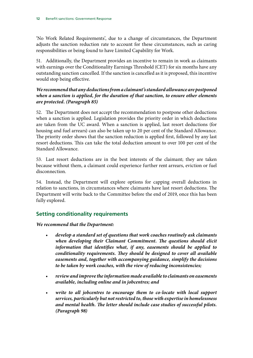'No Work Related Requirements', due to a change of circumstances, the Department adjusts the sanction reduction rate to account for these circumstances, such as caring responsibilities or being found to have Limited Capability for Work.

51. Additionally, the Department provides an incentive to remain in work as claimants with earnings over the Conditionality Earnings Threshold (CET) for six months have any outstanding sanction cancelled. If the sanction is cancelled as it is proposed, this incentive would stop being effective.

#### *We recommend that any deductions from a claimant's standard allowance are postponed when a sanction is applied, for the duration of that sanction, to ensure other elements are protected. (Paragraph 85)*

52. The Department does not accept the recommendation to postpone other deductions when a sanction is applied. Legislation provides the priority order in which deductions are taken from the UC award. When a sanction is applied, last resort deductions (for housing and fuel arrears) can also be taken up to 20 per cent of the Standard Allowance. The priority order shows that the sanction reduction is applied first, followed by any last resort deductions. This can take the total deduction amount to over 100 per cent of the Standard Allowance.

53. Last resort deductions are in the best interests of the claimant; they are taken because without them, a claimant could experience further rent arrears, eviction or fuel disconnection.

54. Instead, the Department will explore options for capping overall deductions in relation to sanctions, in circumstances where claimants have last resort deductions. The Department will write back to the Committee before the end of 2019, once this has been fully explored.

## **Setting conditionality requirements**

#### *We recommend that the Department:*

- *develop a standard set of questions that work coaches routinely ask claimants when developing their Claimant Commitment. The questions should elicit information that identifies what, if any, easements should be applied to conditionality requirements. They should be designed to cover all available easements and, together with accompanying guidance, simplify the decisions to be taken by work coaches, with the view of reducing inconsistencies;*
- *review and improve the information made available to claimants on easements available, including online and in jobcentres; and*
- *write to all jobcentres to encourage them to co-locate with local support services, particularly but not restricted to, those with expertise in homelessness and mental health. The letter should include case studies of successful pilots. (Paragraph 98)*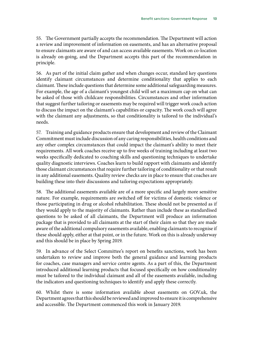55. The Government partially accepts the recommendation. The Department will action a review and improvement of information on easements, and has an alternative proposal to ensure claimants are aware of and can access available easements. Work on co-location is already on-going, and the Department accepts this part of the recommendation in principle.

56. As part of the initial claim gather and when changes occur, standard key questions identify claimant circumstances and determine conditionality that applies to each claimant. These include questions that determine some additional safeguarding measures. For example, the age of a claimant's youngest child will set a maximum cap on what can be asked of those with childcare responsibilities. Circumstances and other information that suggest further tailoring or easements may be required will trigger work coach action to discuss the impact on the claimant's capabilities or capacity. The work coach will agree with the claimant any adjustments, so that conditionality is tailored to the individual's needs.

57. Training and guidance products ensure that development and review of the Claimant Commitment must include discussion of any caring responsibilities, health conditions and any other complex circumstances that could impact the claimant's ability to meet their requirements. All work coaches receive up to five weeks of training including at least two weeks specifically dedicated to coaching skills and questioning techniques to undertake quality diagnostic interviews. Coaches learn to build rapport with claimants and identify those claimant circumstances that require further tailoring of conditionality or that result in any additional easements. Quality review checks are in place to ensure that coaches are building these into their discussions and tailoring expectations appropriately.

58. The additional easements available are of a more specific and largely more sensitive nature. For example, requirements are switched off for victims of domestic violence or those participating in drug or alcohol rehabilitation. These should not be presented as if they would apply to the majority of claimants. Rather than include these as standardised questions to be asked of all claimants, the Department will produce an information package that is provided to all claimants at the start of their claim so that they are made aware of the additional compulsory easements available, enabling claimants to recognise if these should apply, either at that point, or in the future. Work on this is already underway and this should be in place by Spring 2019.

59. In advance of the Select Committee's report on benefits sanctions, work has been undertaken to review and improve both the general guidance and learning products for coaches, case managers and service centre agents. As a part of this, the Department introduced additional learning products that focused specifically on how conditionality must be tailored to the individual claimant and all of the easements available, including the indicators and questioning techniques to identify and apply these correctly.

60. Whilst there is some information available about easements on GOV.uk, the Department agrees that this should be reviewed and improved to ensure it is comprehensive and accessible. The Department commenced this work in January 2019.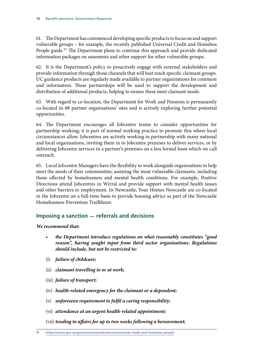61. The Department has commenced developing specific products to focus on and support vulnerable groups – for example, the recently published Universal Credit and Homeless People guide.<sup>11</sup> The Department plans to continue this approach and provide dedicated information packages on easements and other support for other vulnerable groups.

62. It is the Department's policy to proactively engage with external stakeholders and provide information through those channels that will best reach specific claimant groups. UC guidance products are regularly made available to partner organisations for comment and information. These partnerships will be used to support the development and distribution of additional products, helping to ensure these meet claimant needs.

63. With regard to co-location, the Department for Work and Pensions is permanently co-located in 88 partner organisations' sites and is actively exploring further potential opportunities.

64. The Department encourages all Jobcentre teams to consider opportunities for partnership working; it is part of normal working practice to promote this where local circumstances allow. Jobcentres are actively working in partnership with many national and local organisations, inviting them in to Jobcentre premises to deliver services, or by delivering Jobcentre services in a partner's premises on a less formal basis which we call outreach.

65. Local Jobcentre Managers have the flexibility to work alongside organisations to help meet the needs of their communities, assisting the most vulnerable claimants, including those affected by homelessness and mental health conditions. For example, Positive Directions attend Jobcentres in Wirral and provide support with mental health issues and other barriers to employment. In Newcastle, Your Homes Newcastle are co-located in the Jobcentre on a full-time basis to provide housing advice as part of the Newcastle Homelessness Prevention Trailblazer.

## **Imposing a sanction** *—* **referrals and decisions**

*We recommend that:*

- *the Department introduce regulations on what reasonably constitutes "good reason", having sought input from third sector organisations. Regulations should include, but not be restricted to:*
- (i) *failure of childcare;*
- (ii) *claimant travelling to or at work;*
- (iii) *failure of transport;*
- (iv) *health-related emergency for the claimant or a dependent;*
- (v) *unforeseen requirement to fulfil a caring responsibility;*
- (vi) *attendance at an urgent health-related appointment;*
- (vii) *tending to affairs for up to two weeks following a bereavement;*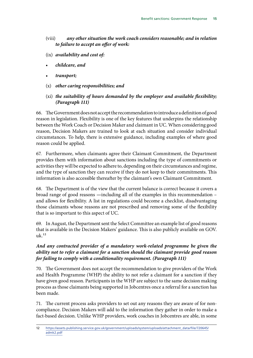- (viii) *any other situation the work coach considers reasonable; and in relation to failure to accept an offer of work:*
- (ix) *availability and cost of:*
- *childcare, and*
- *transport;*
- (x) *other caring responsibilities; and*
- (xi) *the suitability of hours demanded by the employer and available flexibility; (Paragraph 111)*

66. The Government does not accept the recommendation to introduce a definition of good reason in legislation. Flexibility is one of the key features that underpins the relationship between the Work Coach or Decision Maker and claimant in UC. When considering good reason, Decision Makers are trained to look at each situation and consider individual circumstances. To help, there is extensive guidance, including examples of where good reason could be applied.

67. Furthermore, when claimants agree their Claimant Commitment, the Department provides them with information about sanctions including the type of commitments or activities they will be expected to adhere to, depending on their circumstances and regime, and the type of sanction they can receive if they do not keep to their commitments. This information is also accessible thereafter by the claimant's own Claimant Commitment.

68. The Department is of the view that the current balance is correct because it covers a broad range of good reasons *—*including all of the examples in this recommendation – and allows for flexibility. A list in regulations could become a checklist, disadvantaging those claimants whose reasons are not prescribed and removing some of the flexibility that is so important to this aspect of UC.

69. In August, the Department sent the Select Committee an example list of good reasons that is available in the Decision Makers' guidance. This is also publicly available on GOV.  $11k^{12}$ 

#### *And any contracted provider of a mandatory work-related programme be given the ability not to refer a claimant for a sanction should the claimant provide good reason for failing to comply with a conditionality requirement. (Paragraph 111)*

70. The Government does not accept the recommendation to give providers of the Work and Health Programme (WHP) the ability to not refer a claimant for a sanction if they have given good reason. Participants in the WHP are subject to the same decision making process as those claimants being supported in Jobcentres once a referral for a sanction has been made.

71. The current process asks providers to set out any reasons they are aware of for noncompliance. Decision Makers will add to the information they gather in order to make a fact-based decision. Unlike WHP providers, work coaches in Jobcentres are able, in some

<sup>12</sup> [https://assets.publishing.service.gov.uk/government/uploads/system/uploads/attachment\\_data/file/720645/](https://assets.publishing.service.gov.uk/government/uploads/system/uploads/attachment_data/file/720645/admk2.pdf) [admk2.pdf](https://assets.publishing.service.gov.uk/government/uploads/system/uploads/attachment_data/file/720645/admk2.pdf)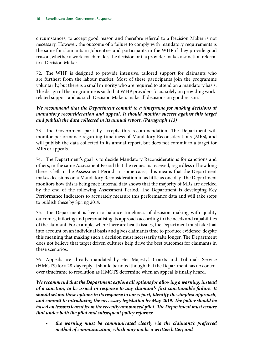circumstances, to accept good reason and therefore referral to a Decision Maker is not necessary. However, the outcome of a failure to comply with mandatory requirements is the same for claimants in Jobcentres and participants in the WHP if they provide good reason, whether a work coach makes the decision or if a provider makes a sanction referral to a Decision Maker.

72. The WHP is designed to provide intensive, tailored support for claimants who are furthest from the labour market. Most of these participants join the programme voluntarily, but there is a small minority who are required to attend on a mandatory basis. The design of the programme is such that WHP providers focus solely on providing workrelated support and as such Decision Makers make all decisions on good reason.

*We recommend that the Department commit to a timeframe for making decisions at mandatory reconsideration and appeal. It should monitor success against this target and publish the data collected in its annual report. (Paragraph 113)*

73. The Government partially accepts this recommendation. The Department will monitor performance regarding timeliness of Mandatory Reconsiderations (MRs), and will publish the data collected in its annual report, but does not commit to a target for MRs or appeals.

74. The Department's goal is to decide Mandatory Reconsiderations for sanctions and others, in the same Assessment Period that the request is received, regardless of how long there is left in the Assessment Period. In some cases, this means that the Department makes decisions on a Mandatory Reconsideration in as little as one day. The Department monitors how this is being met: internal data shows that the majority of MRs are decided by the end of the following Assessment Period. The Department is developing Key Performance Indicators to accurately measure this performance data and will take steps to publish these by Spring 2019.

75. The Department is keen to balance timeliness of decision making with quality outcomes, tailoring and personalising its approach according to the needs and capabilities of the claimant. For example, where there are health issues, the Department must take that into account on an individual basis and gives claimants time to produce evidence; despite this meaning that making such a decision must necessarily take longer. The Department does not believe that target driven cultures help drive the best outcomes for claimants in these scenarios.

76. Appeals are already mandated by Her Majesty's Courts and Tribunals Service (HMCTS) for a 28-day reply. It should be noted though that the Department has no control over timeframe to resolution as HMCTS determine when an appeal is finally heard.

*We recommend that the Department explore all options for allowing a warning, instead of a sanction, to be issued in response to any claimant's first sanctionable failure. It should set out these options in its response to our report, identify the simplest approach, and commit to introducing the necessary legislation by May 2019. The policy should be based on lessons learnt from the recently announced pilot. The Department must ensure that under both the pilot and subsequent policy reforms:*

• *the warning must be communicated clearly via the claimant's preferred method of communication, which may not be a written letter; and*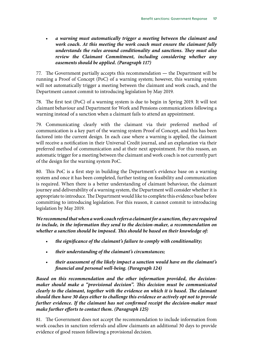• *a warning must automatically trigger a meeting between the claimant and work coach. At this meeting the work coach must ensure the claimant fully understands the rules around conditionality and sanctions. They must also review the Claimant Commitment, including considering whether any easements should be applied. (Paragraph 117)*

77. The Government partially accepts this recommendation *—* the Department will be running a Proof of Concept (PoC) of a warning system; however, this warning system will not automatically trigger a meeting between the claimant and work coach, and the Department cannot commit to introducing legislation by May 2019.

78. The first test (PoC) of a warning system is due to begin in Spring 2019. It will test claimant behaviour and Department for Work and Pensions communications following a warning instead of a sanction when a claimant fails to attend an appointment.

79. Communicating clearly with the claimant via their preferred method of communication is a key part of the warning system Proof of Concept, and this has been factored into the current design. In each case where a warning is applied, the claimant will receive a notification in their Universal Credit journal, and an explanation via their preferred method of communication and at their next appointment. For this reason, an automatic trigger for a meeting between the claimant and work coach is not currently part of the design for the warning system PoC.

80. This PoC is a first step in building the Department's evidence base on a warning system and once it has been completed, further testing on feasibility and communication is required. When there is a better understanding of claimant behaviour, the claimant journey and deliverability of a warning system, the Department will consider whether it is appropriate to introduce. The Department would like to complete this evidence base before committing to introducing legislation. For this reason, it cannot commit to introducing legislation by May 2019.

*We recommend that when a work coach refers a claimant for a sanction, they are required to include, in the information they send to the decision-maker, a recommendation on whether a sanction should be imposed. This should be based on their knowledge of:*

- *the significance of the claimant's failure to comply with conditionality;*
- *their understanding of the claimant's circumstances;*
- *their assessment of the likely impact a sanction would have on the claimant's financial and personal well-being. (Paragraph 124)*

*Based on this recommendation and the other information provided, the decisionmaker should make a "provisional decision". This decision must be communicated clearly to the claimant, together with the evidence on which it is based. The claimant should then have 30 days either to challenge this evidence or actively opt not to provide further evidence. If the claimant has not confirmed receipt the decision-maker must make further efforts to contact them. (Paragraph 125)*

81. The Government does not accept the recommendation to include information from work coaches in sanction referrals and allow claimants an additional 30 days to provide evidence of good reason following a provisional decision.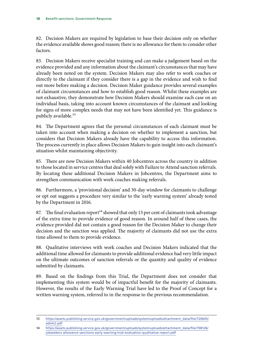82. Decision Makers are required by legislation to base their decision only on whether the evidence available shows good reason; there is no allowance for them to consider other factors.

83. Decision Makers receive specialist training and can make a judgement based on the evidence provided and any information about the claimant's circumstances that may have already been noted on the system. Decision Makers may also refer to work coaches or directly to the claimant if they consider there is a gap in the evidence and wish to find out more before making a decision. Decision Maker guidance provides several examples of claimant circumstances and how to establish good reason. Whilst these examples are not exhaustive, they demonstrate how Decision Makers should examine each case on an individual basis, taking into account known circumstances of the claimant and looking for signs of more complex needs that may not have been identified yet. This guidance is publicly available.<sup>13</sup>

84. The Department agrees that the personal circumstances of each claimant must be taken into account when making a decision on whether to implement a sanction, but considers that Decision Makers already have the capability to access this information. The process currently in place allows Decision Makers to gain insight into each claimant's situation whilst maintaining objectivity.

85. There are now Decision Makers within 40 Jobcentres across the country in addition to those located in service centres that deal solely with Failure to Attend sanction referrals. By locating these additional Decision Makers in Jobcentres, the Department aims to strengthen communication with work coaches making referrals.

86. Furthermore, a 'provisional decision' and 30-day window for claimants to challenge or opt out suggests a procedure very similar to the 'early warning system' already tested by the Department in 2016.

87. The final evaluation report<sup>14</sup> showed that only 13 per cent of claimants took advantage of the extra time to provide evidence of good reason. In around half of these cases, the evidence provided did not contain a good reason for the Decision Maker to change their decision and the sanction was applied. The majority of claimants did not use the extra time allowed to them to provide evidence.

88. Qualitative interviews with work coaches and Decision Makers indicated that the additional time allowed for claimants to provide additional evidence had very little impact on the ultimate outcomes of sanction referrals or the quantity and quality of evidence submitted by claimants.

89. Based on the findings from this Trial, the Department does not consider that implementing this system would be of impactful benefit for the majority of claimants. However, the results of the Early Warning Trial have led to the Proof of Concept for a written warning system, referred to in the response to the previous recommendation.

<sup>13</sup> [https://assets.publishing.service.gov.uk/government/uploads/system/uploads/attachment\\_data/file/720645/](https://assets.publishing.service.gov.uk/government/uploads/system/uploads/attachment_data/file/7206) [admk2.pdf](https://assets.publishing.service.gov.uk/government/uploads/system/uploads/attachment_data/file/7206)

<sup>14</sup> [https://assets.publishing.service.gov.uk/government/uploads/system/uploads/attachment\\_data/file/708126/](https://assets.publishing.service.gov.uk/government/uploads/system/uploads/attachment_data/file/7081) [jobseekers-allowance-sanctions-early-warning-trial-evaluation-qualitative-report.pdf](https://assets.publishing.service.gov.uk/government/uploads/system/uploads/attachment_data/file/7081)